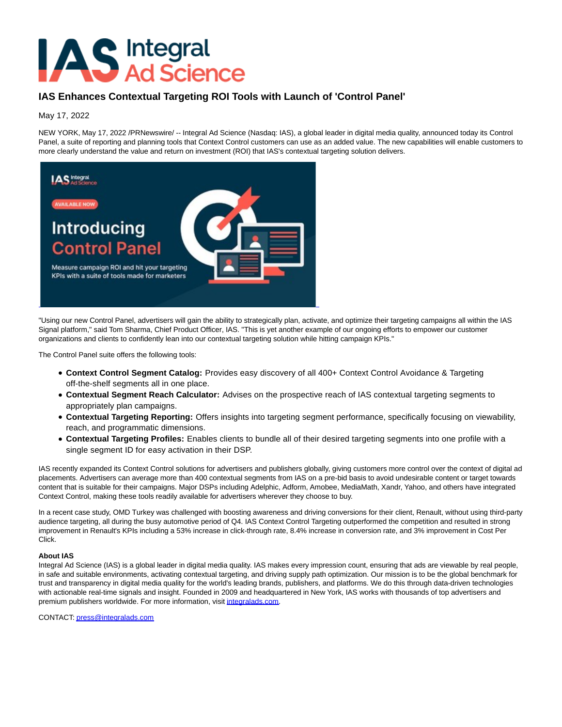## **AS** Integral<br>Ad Science

## **IAS Enhances Contextual Targeting ROI Tools with Launch of 'Control Panel'**

May 17, 2022

NEW YORK, May 17, 2022 /PRNewswire/ -- Integral Ad Science (Nasdaq: IAS), a global leader in digital media quality, announced today its Control Panel, a suite of reporting and planning tools that Context Control customers can use as an added value. The new capabilities will enable customers to more clearly understand the value and return on investment (ROI) that IAS's contextual targeting solution delivers.



"Using our new Control Panel, advertisers will gain the ability to strategically plan, activate, and optimize their targeting campaigns all within the IAS Signal platform," said Tom Sharma, Chief Product Officer, IAS. "This is yet another example of our ongoing efforts to empower our customer organizations and clients to confidently lean into our contextual targeting solution while hitting campaign KPIs."

The Control Panel suite offers the following tools:

- **Context Control Segment Catalog:** Provides easy discovery of all 400+ Context Control Avoidance & Targeting off-the-shelf segments all in one place.
- **Contextual Segment Reach Calculator:** Advises on the prospective reach of IAS contextual targeting segments to appropriately plan campaigns.
- **Contextual Targeting Reporting:** Offers insights into targeting segment performance, specifically focusing on viewability, reach, and programmatic dimensions.
- **Contextual Targeting Profiles:** Enables clients to bundle all of their desired targeting segments into one profile with a single segment ID for easy activation in their DSP.

IAS recently expanded its Context Control solutions for advertisers and publishers globally, giving customers more control over the context of digital ad placements. Advertisers can average more than 400 contextual segments from IAS on a pre-bid basis to avoid undesirable content or target towards content that is suitable for their campaigns. Major DSPs including Adelphic, Adform, Amobee, MediaMath, Xandr, Yahoo, and others have integrated Context Control, making these tools readily available for advertisers wherever they choose to buy.

In a recent case study, OMD Turkey was challenged with boosting awareness and driving conversions for their client, Renault, without using third-party audience targeting, all during the busy automotive period of Q4. IAS Context Control Targeting outperformed the competition and resulted in strong improvement in Renault's KPIs including a 53% increase in click-through rate, 8.4% increase in conversion rate, and 3% improvement in Cost Per Click.

## **About IAS**

Integral Ad Science (IAS) is a global leader in digital media quality. IAS makes every impression count, ensuring that ads are viewable by real people, in safe and suitable environments, activating contextual targeting, and driving supply path optimization. Our mission is to be the global benchmark for trust and transparency in digital media quality for the world's leading brands, publishers, and platforms. We do this through data-driven technologies with actionable real-time signals and insight. Founded in 2009 and headquartered in New York, IAS works with thousands of top advertisers and premium publishers worldwide. For more information, visi[t integralads.com.](https://c212.net/c/link/?t=0&l=en&o=3536904-1&h=704810856&u=http%3A%2F%2Fintegralads.com%2F&a=integralads.com)

CONTACT[: press@integralads.com](mailto:press@integralads.com)